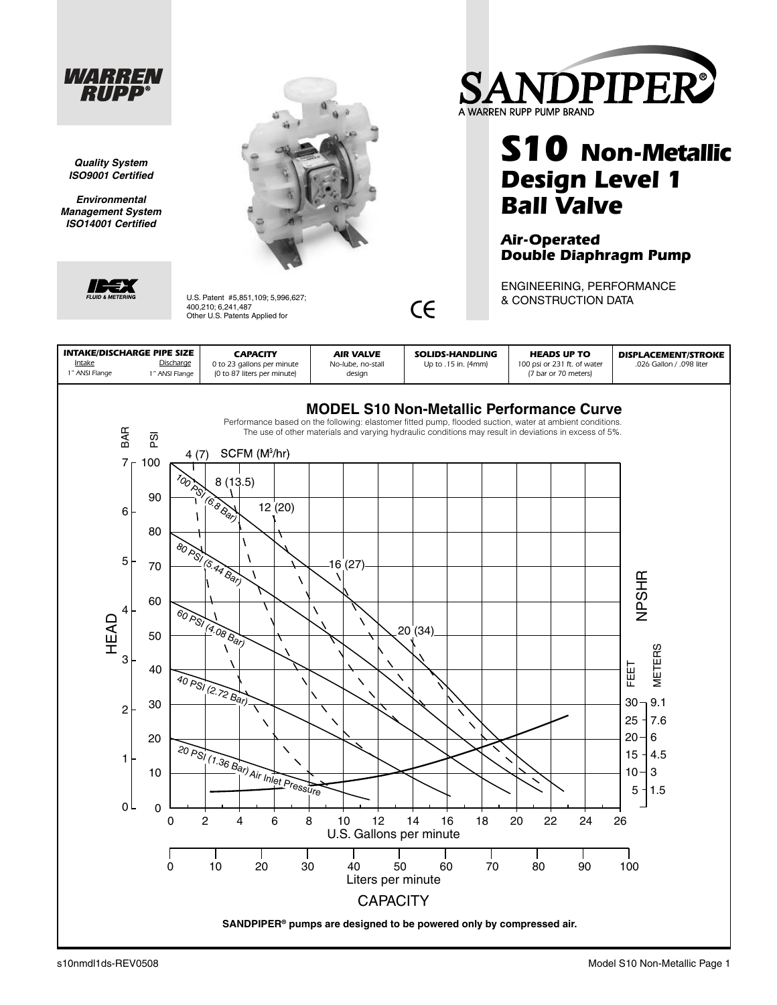

*Quality System ISO9001 Certifi ed*

*Environmental Management System ISO14001 Certifi ed*



U.S. Patent #5,851,109; 5,996,627;<br>400,210; 6,241,487<br>Other U.S. Patents Applied for 400,210; 6,241,487



# **S10 Non-Metallic Design Level 1 Ball Valve**

#### **Air-Operated Double Diaphragm Pump**

ENGINEERING, PERFORMANCE & CONSTRUCTION DATA

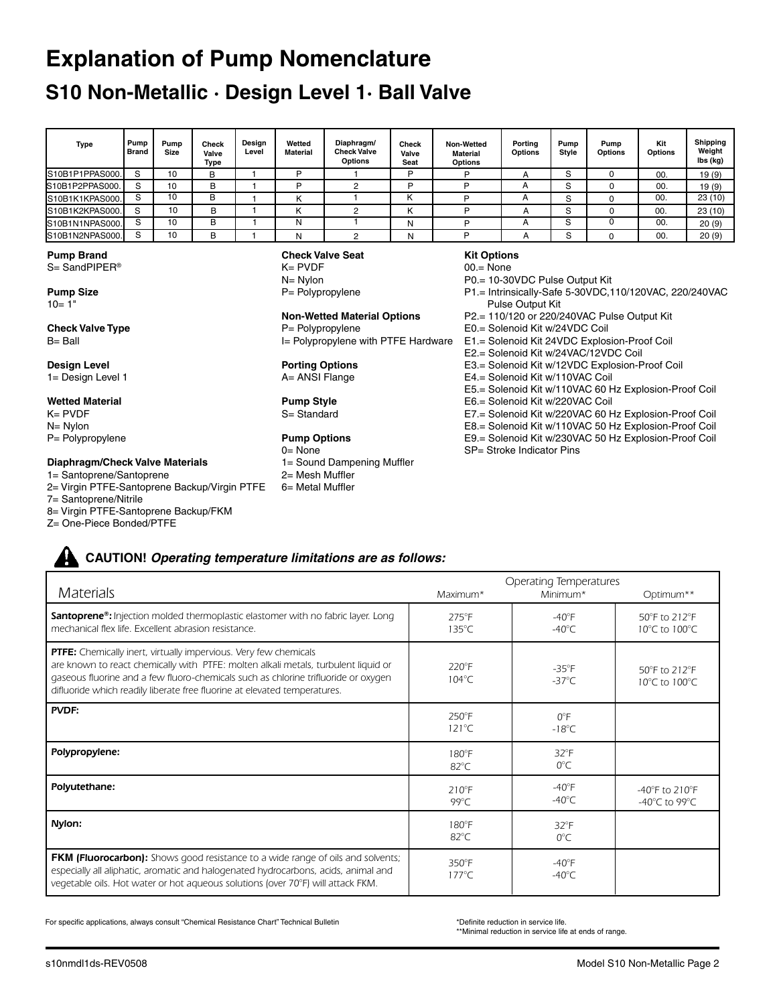# **Explanation of Pump Nomenclature**

## **S10 Non-Metallic · Design Level 1· Ball Valve**

| Type                                              | Pump<br><b>Brand</b>                                                                                                                                                                                                               | Pump<br><b>Size</b> | Check<br>Valve<br>Type                                | Design<br>Level | Wetted<br><b>Material</b> | Diaphragm/<br><b>Check Valve</b><br>Options | <b>Check</b><br>Valve<br>Seat                                                     | Non-Wetted<br><b>Material</b><br>Options | Porting<br>Options | Pump<br>Style | Pump<br><b>Options</b> | Kit<br>Options | Shipping<br>Weight<br>lbs (kg) |
|---------------------------------------------------|------------------------------------------------------------------------------------------------------------------------------------------------------------------------------------------------------------------------------------|---------------------|-------------------------------------------------------|-----------------|---------------------------|---------------------------------------------|-----------------------------------------------------------------------------------|------------------------------------------|--------------------|---------------|------------------------|----------------|--------------------------------|
| S10B1P1PPAS000.                                   | S                                                                                                                                                                                                                                  | 10                  | в                                                     |                 | P                         |                                             | P                                                                                 | P                                        | A                  | S             | 0                      | 00.            | 19(9)                          |
| S10B1P2PPAS000.                                   | S                                                                                                                                                                                                                                  | 10                  | в                                                     |                 | P                         | 2                                           | P                                                                                 | P                                        | A                  | S             | $\Omega$               | 00.            | 19(9)                          |
| S10B1K1KPAS000.                                   | S                                                                                                                                                                                                                                  | 10                  | в                                                     |                 | K                         |                                             | K                                                                                 | Þ                                        | A                  | S             | $\Omega$               | 00.            | 23(10)                         |
| S10B1K2KPAS000.                                   | S                                                                                                                                                                                                                                  | 10                  | в                                                     |                 | K                         | 2                                           | ĸ                                                                                 | P                                        | A                  | S             | $\Omega$               | 00.            | 23(10)                         |
| S10B1N1NPAS000.                                   | S                                                                                                                                                                                                                                  | 10                  | В                                                     |                 | N                         |                                             | N                                                                                 | P                                        | A                  | S             | $\mathbf 0$            | 00.            | 20(9)                          |
| S10B1N2NPAS000.                                   | S                                                                                                                                                                                                                                  | 10                  | В                                                     |                 | N                         | 2                                           | N                                                                                 | P                                        | A                  | S             | $\Omega$               | 00.            | 20(9)                          |
| <b>Pump Brand</b><br>$S =$ SandPIPER <sup>®</sup> |                                                                                                                                                                                                                                    |                     | <b>Check Valve Seat</b><br>$K = PVDF$<br>$N = N$ ylon |                 |                           |                                             | <b>Kit Options</b><br>$00 = \text{None}$<br>P0.= 10-30VDC Pulse Output Kit        |                                          |                    |               |                        |                |                                |
| <b>Pump Size</b><br>$10 = 1"$                     |                                                                                                                                                                                                                                    |                     | $P =$ Polypropylene                                   |                 |                           |                                             | P1.= Intrinsically-Safe 5-30VDC,110/120VAC, 220/240VAC<br><b>Pulse Output Kit</b> |                                          |                    |               |                        |                |                                |
| <b>Check Valve Type</b><br>$B = Ball$             | P2.= 110/120 or 220/240VAC Pulse Output Kit<br><b>Non-Wetted Material Options</b><br>E0.= Solenoid Kit w/24VDC Coil<br>$P = Polyprop$ ylene<br>I= Polypropylene with PTFE Hardware<br>E1.= Solenoid Kit 24VDC Explosion-Proof Coil |                     |                                                       |                 |                           |                                             |                                                                                   |                                          |                    |               |                        |                |                                |

#### **Design Level**

1= Design Level 1

#### **Wetted Material**

K= PVDF N= Nylon P= Polypropylene

#### **Diaphragm/Check Valve Materials**

- 1= Santoprene/Santoprene
- 2= Virgin PTFE-Santoprene Backup/Virgin PTFE

7= Santoprene/Nitrile

8= Virgin PTFE-Santoprene Backup/FKM

Z= One-Piece Bonded/PTFE

**Porting Options** A= ANSI Flange

#### **Pump Style** S= Standard

#### **Pump Options**

- 0= None 1= Sound Dampening Muffler
- 2= Mesh Muffler
- 6= Metal Muffler
- E2.= Solenoid Kit w/24VAC/12VDC Coil
- E3.= Solenoid Kit w/12VDC Explosion-Proof Coil
- E4.= Solenoid Kit w/110VAC Coil
- E5.= Solenoid Kit w/110VAC 60 Hz Explosion-Proof Coil
- E6.= Solenoid Kit w/220VAC Coil
- E7.= Solenoid Kit w/220VAC 60 Hz Explosion-Proof Coil
- E8.= Solenoid Kit w/110VAC 50 Hz Explosion-Proof Coil
- E9.= Solenoid Kit w/230VAC 50 Hz Explosion-Proof Coil
- SP= Stroke Indicator Pins

# **CAUTION!** *Operating temperature limitations are as follows:*

|                                                                                                                                                                                                                                                                                                                           | <b>Operating Temperatures</b>      |                                     |                                                                           |  |
|---------------------------------------------------------------------------------------------------------------------------------------------------------------------------------------------------------------------------------------------------------------------------------------------------------------------------|------------------------------------|-------------------------------------|---------------------------------------------------------------------------|--|
| <b>Materials</b>                                                                                                                                                                                                                                                                                                          | Maximum*                           | Minimum*                            | Optimum**                                                                 |  |
| <b>Santoprene<sup>®</sup>:</b> Injection molded thermoplastic elastomer with no fabric layer. Long<br>mechanical flex life. Excellent abrasion resistance.                                                                                                                                                                | $275^{\circ}$ F<br>$135^{\circ}$ C | $-40^{\circ}$ F<br>$-40^{\circ}$ C  | 50°F to 212°F<br>10°C to 100°C                                            |  |
| PTFE: Chemically inert, virtually impervious. Very few chemicals<br>are known to react chemically with PTFE: molten alkali metals, turbulent liquid or<br>gaseous fluorine and a few fluoro-chemicals such as chlorine trifluoride or oxygen<br>difluoride which readily liberate free fluorine at elevated temperatures. | $220^\circ F$<br>$104^{\circ}$ C   | $-35^{\circ}$ F<br>$-37^{\circ}$ C  | 50°F to 212°F<br>10°C to 100°C                                            |  |
| PVDF:                                                                                                                                                                                                                                                                                                                     | $250^{\circ}$ F<br>$121^{\circ}$ C | $O^{\circ}F$<br>$-18^{\circ}$ C     |                                                                           |  |
| Polypropylene:                                                                                                                                                                                                                                                                                                            | $180^\circ F$<br>$82^{\circ}$ C    | $32^{\circ}F$<br>$0^{\circ}$ C      |                                                                           |  |
| Polyutethane:                                                                                                                                                                                                                                                                                                             | $210^{\circ}F$<br>$99^{\circ}$ C   | $-40^{\circ}$ F<br>-40 $^{\circ}$ C | -40 $\degree$ F to 210 $\degree$ F<br>-40 $^{\circ}$ C to 99 $^{\circ}$ C |  |
| Nylon:                                                                                                                                                                                                                                                                                                                    | $180^{\circ}$ F<br>$82^{\circ}$ C  | $32^{\circ}F$<br>$0^{\circ}$ C      |                                                                           |  |
| <b>FKM (Fluorocarbon):</b> Shows good resistance to a wide range of oils and solvents;<br>especially all aliphatic, aromatic and halogenated hydrocarbons, acids, animal and<br>vegetable oils. Hot water or hot aqueous solutions (over 70°F) will attack FKM.                                                           | 350°F<br>$177^{\circ}$ C           | $-40^{\circ}$ F<br>-40 $^{\circ}$ C |                                                                           |  |

For specific applications, always consult "Chemical Resistance Chart" Technical Bulletin

\*Definite reduction in service life.

\*\*Minimal reduction in service life at ends of range.

٦